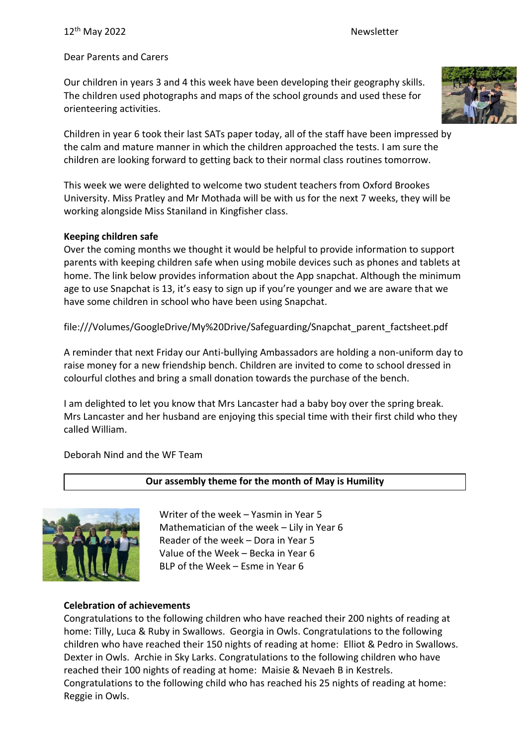Dear Parents and Carers

Our children in years 3 and 4 this week have been developing their geography skills. The children used photographs and maps of the school grounds and used these for orienteering activities.



Children in year 6 took their last SATs paper today, all of the staff have been impressed by the calm and mature manner in which the children approached the tests. I am sure the children are looking forward to getting back to their normal class routines tomorrow.

This week we were delighted to welcome two student teachers from Oxford Brookes University. Miss Pratley and Mr Mothada will be with us for the next 7 weeks, they will be working alongside Miss Staniland in Kingfisher class.

# **Keeping children safe**

Over the coming months we thought it would be helpful to provide information to support parents with keeping children safe when using mobile devices such as phones and tablets at home. The link below provides information about the App snapchat. Although the minimum age to use Snapchat is 13, it's easy to sign up if you're younger and we are aware that we have some children in school who have been using Snapchat.

file:///Volumes/GoogleDrive/My%20Drive/Safeguarding/Snapchat\_parent\_factsheet.pdf

A reminder that next Friday our Anti-bullying Ambassadors are holding a non-uniform day to raise money for a new friendship bench. Children are invited to come to school dressed in colourful clothes and bring a small donation towards the purchase of the bench.

I am delighted to let you know that Mrs Lancaster had a baby boy over the spring break. Mrs Lancaster and her husband are enjoying this special time with their first child who they called William.

Deborah Nind and the WF Team

# **Our assembly theme for the month of May is Humility**



Writer of the week – Yasmin in Year 5 Mathematician of the week – Lily in Year 6 Reader of the week – Dora in Year 5 Value of the Week – Becka in Year 6 BLP of the Week – Esme in Year 6

# **Celebration of achievements**

Congratulations to the following children who have reached their 200 nights of reading at home: Tilly, Luca & Ruby in Swallows. Georgia in Owls. Congratulations to the following children who have reached their 150 nights of reading at home: Elliot & Pedro in Swallows. Dexter in Owls. Archie in Sky Larks. Congratulations to the following children who have reached their 100 nights of reading at home: Maisie & Nevaeh B in Kestrels. Congratulations to the following child who has reached his 25 nights of reading at home: Reggie in Owls.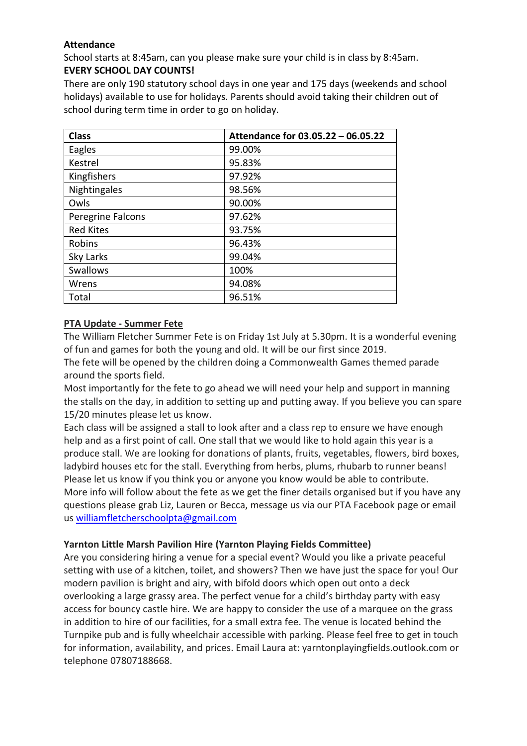## **Attendance**

School starts at 8:45am, can you please make sure your child is in class by 8:45am. **EVERY SCHOOL DAY COUNTS!**

There are only 190 statutory school days in one year and 175 days (weekends and school holidays) available to use for holidays. Parents should avoid taking their children out of school during term time in order to go on holiday.

| <b>Class</b>      | Attendance for 03.05.22 - 06.05.22 |
|-------------------|------------------------------------|
| Eagles            | 99.00%                             |
| Kestrel           | 95.83%                             |
| Kingfishers       | 97.92%                             |
| Nightingales      | 98.56%                             |
| Owls              | 90.00%                             |
| Peregrine Falcons | 97.62%                             |
| <b>Red Kites</b>  | 93.75%                             |
| Robins            | 96.43%                             |
| Sky Larks         | 99.04%                             |
| <b>Swallows</b>   | 100%                               |
| Wrens             | 94.08%                             |
| Total             | 96.51%                             |

## **PTA Update - Summer Fete**

The William Fletcher Summer Fete is on Friday 1st July at 5.30pm. It is a wonderful evening of fun and games for both the young and old. It will be our first since 2019.

The fete will be opened by the children doing a Commonwealth Games themed parade around the sports field.

Most importantly for the fete to go ahead we will need your help and support in manning the stalls on the day, in addition to setting up and putting away. If you believe you can spare 15/20 minutes please let us know.

Each class will be assigned a stall to look after and a class rep to ensure we have enough help and as a first point of call. One stall that we would like to hold again this year is a produce stall. We are looking for donations of plants, fruits, vegetables, flowers, bird boxes, ladybird houses etc for the stall. Everything from herbs, plums, rhubarb to runner beans! Please let us know if you think you or anyone you know would be able to contribute. More info will follow about the fete as we get the finer details organised but if you have any questions please grab Liz, Lauren or Becca, message us via our PTA Facebook page or email us [williamfletcherschoolpta@gmail.com](mailto:williamfletcherschoolpta@gmail.com)

# **Yarnton Little Marsh Pavilion Hire (Yarnton Playing Fields Committee)**

Are you considering hiring a venue for a special event? Would you like a private peaceful setting with use of a kitchen, toilet, and showers? Then we have just the space for you! Our modern pavilion is bright and airy, with bifold doors which open out onto a deck overlooking a large grassy area. The perfect venue for a child's birthday party with easy access for bouncy castle hire. We are happy to consider the use of a marquee on the grass in addition to hire of our facilities, for a small extra fee. The venue is located behind the Turnpike pub and is fully wheelchair accessible with parking. Please feel free to get in touch for information, availability, and prices. Email Laura at: yarntonplayingfields.outlook.com or telephone 07807188668.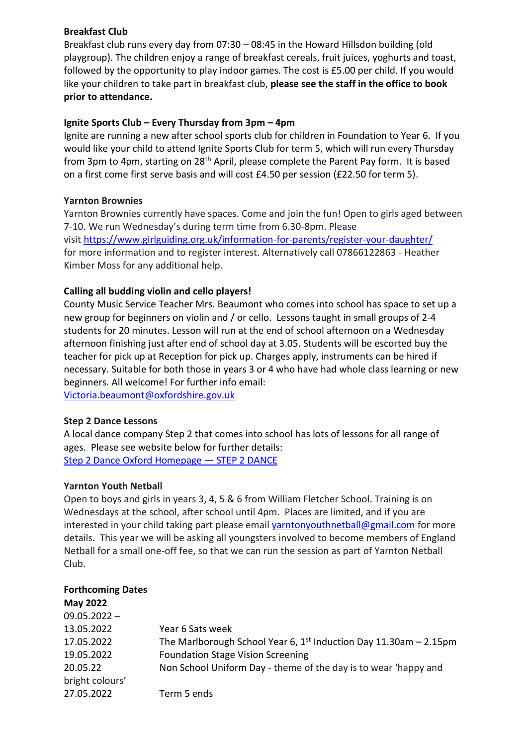## **Breakfast Club**

Breakfast club runs every day from 07:30 – 08:45 in the Howard Hillsdon building (old playgroup). The children enjoy a range of breakfast cereals, fruit juices, yoghurts and toast, followed by the opportunity to play indoor games. The cost is £5.00 per child. If you would like your children to take part in breakfast club, **please see the staff in the office to book prior to attendance.**

## **Ignite Sports Club – Every Thursday from 3pm – 4pm**

Ignite are running a new after school sports club for children in Foundation to Year 6. If you would like your child to attend Ignite Sports Club for term 5, which will run every Thursday from 3pm to 4pm, starting on 28<sup>th</sup> April, please complete the Parent Pay form. It is based on a first come first serve basis and will cost £4.50 per session (£22.50 for term 5).

## **Yarnton Brownies**

Yarnton Brownies currently have spaces. Come and join the fun! Open to girls aged between 7-10. We run Wednesday's during term time from 6.30-8pm. Please visit <https://www.girlguiding.org.uk/information-for-parents/register-your-daughter/> for more information and to register interest. Alternatively call 07866122863 - Heather Kimber Moss for any additional help.

## **Calling all budding violin and cello players!**

County Music Service Teacher Mrs. Beaumont who comes into school has space to set up a new group for beginners on violin and / or cello. Lessons taught in small groups of 2-4 students for 20 minutes. Lesson will run at the end of school afternoon on a Wednesday afternoon finishing just after end of school day at 3.05. Students will be escorted buy the teacher for pick up at Reception for pick up. Charges apply, instruments can be hired if necessary. Suitable for both those in years 3 or 4 who have had whole class learning or new beginners. All welcome! For further info email:

[Victoria.beaumont@oxfordshire.gov.uk](mailto:Victoria.beaumont@oxfordshire.gov.uk)

## **Step 2 Dance Lessons**

A local dance company Step 2 that comes into school has lots of lessons for all range of ages. Please see website below for further details: [Step 2 Dance Oxford Homepage](https://www.step2dance.co.uk/home) — STEP 2 DANCE

## **Yarnton Youth Netball**

Open to boys and girls in years 3, 4, 5 & 6 from William Fletcher School. Training is on Wednesdays at the school, after school until 4pm. Places are limited, and if you are interested in your child taking part please email [yarntonyouthnetball@gmail.com](mailto:yarntonyouthnetball@gmail.com) for more details. This year we will be asking all youngsters involved to become members of England Netball for a small one-off fee, so that we can run the session as part of Yarnton Netball Club.

| <b>Forthcoming Dates</b> |                                                                     |
|--------------------------|---------------------------------------------------------------------|
| <b>May 2022</b>          |                                                                     |
| $09.05.2022 -$           |                                                                     |
| 13.05.2022               | Year 6 Sats week                                                    |
| 17.05.2022               | The Marlborough School Year 6, $1st$ Induction Day 11.30am – 2.15pm |
| 19.05.2022               | <b>Foundation Stage Vision Screening</b>                            |
| 20.05.22                 | Non School Uniform Day - theme of the day is to wear 'happy and     |
| bright colours'          |                                                                     |
| 27.05.2022               | Term 5 ends                                                         |
|                          |                                                                     |